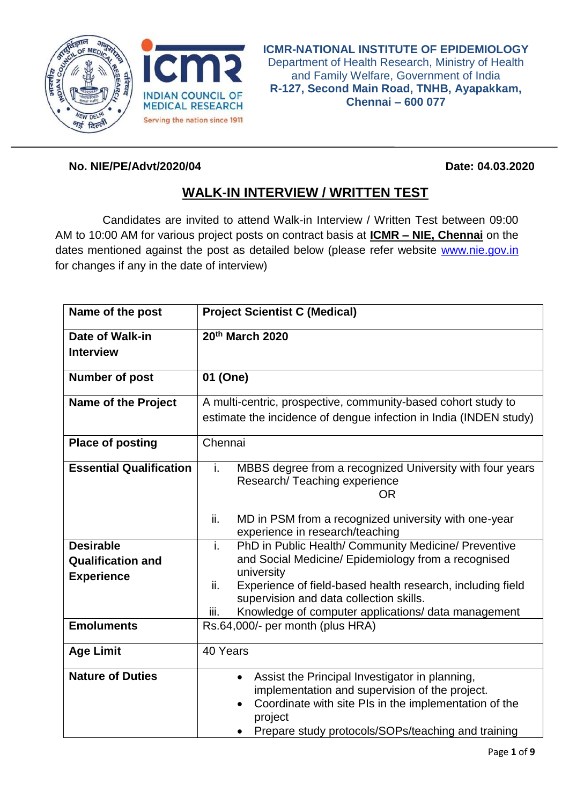



## **No. NIE/PE/Advt/2020/04 Date: 04.03.2020**

## **WALK-IN INTERVIEW / WRITTEN TEST**

Candidates are invited to attend Walk-in Interview / Written Test between 09:00 AM to 10:00 AM for various project posts on contract basis at **ICMR – NIE, Chennai** on the dates mentioned against the post as detailed below (please refer website [www.nie.gov.in](http://www.nie.gov.in/) for changes if any in the date of interview)

| Name of the post               | <b>Project Scientist C (Medical)</b>                                                           |
|--------------------------------|------------------------------------------------------------------------------------------------|
| Date of Walk-in                | 20th March 2020                                                                                |
| <b>Interview</b>               |                                                                                                |
| <b>Number of post</b>          | 01 (One)                                                                                       |
| <b>Name of the Project</b>     | A multi-centric, prospective, community-based cohort study to                                  |
|                                | estimate the incidence of dengue infection in India (INDEN study)                              |
| <b>Place of posting</b>        | Chennai                                                                                        |
| <b>Essential Qualification</b> | i.<br>MBBS degree from a recognized University with four years<br>Research/Teaching experience |
|                                | <b>OR</b>                                                                                      |
|                                | ii.<br>MD in PSM from a recognized university with one-year                                    |
|                                | experience in research/teaching                                                                |
| <b>Desirable</b>               | PhD in Public Health/ Community Medicine/ Preventive<br>i.                                     |
| <b>Qualification and</b>       | and Social Medicine/ Epidemiology from a recognised<br>university                              |
| <b>Experience</b>              | ii.<br>Experience of field-based health research, including field                              |
|                                | supervision and data collection skills.                                                        |
|                                | Knowledge of computer applications/ data management<br>iii.                                    |
| <b>Emoluments</b>              | Rs.64,000/- per month (plus HRA)                                                               |
| <b>Age Limit</b>               | 40 Years                                                                                       |
| <b>Nature of Duties</b>        | Assist the Principal Investigator in planning,<br>$\bullet$                                    |
|                                | implementation and supervision of the project.                                                 |
|                                | Coordinate with site PIs in the implementation of the<br>$\bullet$                             |
|                                | project<br>Prepare study protocols/SOPs/teaching and training                                  |
|                                |                                                                                                |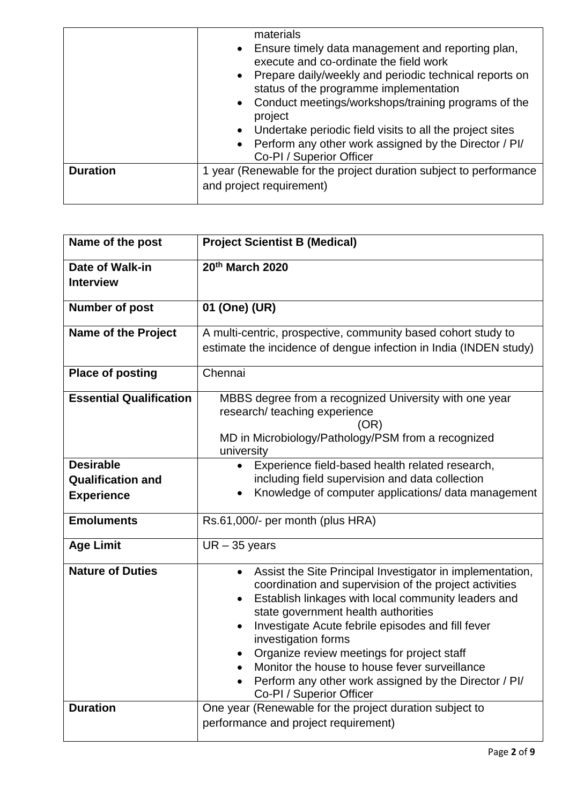|                 | materials<br>• Ensure timely data management and reporting plan,<br>execute and co-ordinate the field work<br>• Prepare daily/weekly and periodic technical reports on<br>status of the programme implementation<br>• Conduct meetings/workshops/training programs of the<br>project<br>• Undertake periodic field visits to all the project sites<br>• Perform any other work assigned by the Director / PI/<br>Co-PI / Superior Officer |
|-----------------|-------------------------------------------------------------------------------------------------------------------------------------------------------------------------------------------------------------------------------------------------------------------------------------------------------------------------------------------------------------------------------------------------------------------------------------------|
| <b>Duration</b> | 1 year (Renewable for the project duration subject to performance<br>and project requirement)                                                                                                                                                                                                                                                                                                                                             |

| Name of the post                                                  | <b>Project Scientist B (Medical)</b>                                                                                                                                                                                                                                                                                                                                                                                                                                                                                     |
|-------------------------------------------------------------------|--------------------------------------------------------------------------------------------------------------------------------------------------------------------------------------------------------------------------------------------------------------------------------------------------------------------------------------------------------------------------------------------------------------------------------------------------------------------------------------------------------------------------|
| Date of Walk-in<br><b>Interview</b>                               | 20th March 2020                                                                                                                                                                                                                                                                                                                                                                                                                                                                                                          |
| <b>Number of post</b>                                             | 01 (One) (UR)                                                                                                                                                                                                                                                                                                                                                                                                                                                                                                            |
| <b>Name of the Project</b>                                        | A multi-centric, prospective, community based cohort study to<br>estimate the incidence of dengue infection in India (INDEN study)                                                                                                                                                                                                                                                                                                                                                                                       |
| <b>Place of posting</b>                                           | Chennai                                                                                                                                                                                                                                                                                                                                                                                                                                                                                                                  |
| <b>Essential Qualification</b>                                    | MBBS degree from a recognized University with one year<br>research/ teaching experience<br>(OR)<br>MD in Microbiology/Pathology/PSM from a recognized<br>university                                                                                                                                                                                                                                                                                                                                                      |
| <b>Desirable</b><br><b>Qualification and</b><br><b>Experience</b> | Experience field-based health related research,<br>including field supervision and data collection<br>Knowledge of computer applications/ data management<br>$\bullet$                                                                                                                                                                                                                                                                                                                                                   |
| <b>Emoluments</b>                                                 | Rs.61,000/- per month (plus HRA)                                                                                                                                                                                                                                                                                                                                                                                                                                                                                         |
| <b>Age Limit</b>                                                  | $UR - 35$ years                                                                                                                                                                                                                                                                                                                                                                                                                                                                                                          |
| <b>Nature of Duties</b>                                           | Assist the Site Principal Investigator in implementation,<br>$\bullet$<br>coordination and supervision of the project activities<br>Establish linkages with local community leaders and<br>$\bullet$<br>state government health authorities<br>Investigate Acute febrile episodes and fill fever<br>$\bullet$<br>investigation forms<br>Organize review meetings for project staff<br>Monitor the house to house fever surveillance<br>Perform any other work assigned by the Director / PI/<br>Co-PI / Superior Officer |
| <b>Duration</b>                                                   | One year (Renewable for the project duration subject to<br>performance and project requirement)                                                                                                                                                                                                                                                                                                                                                                                                                          |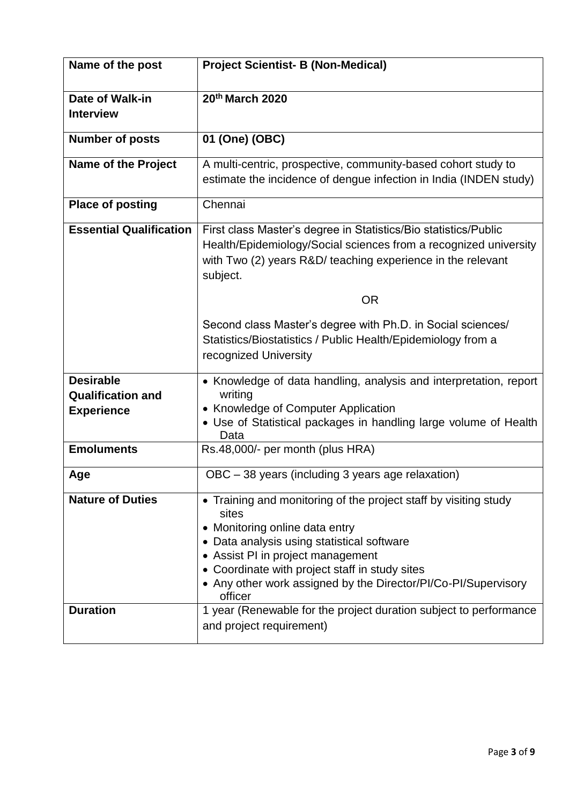| Name of the post                                                  | <b>Project Scientist- B (Non-Medical)</b>                                                                                                                                                                                                                                                                                     |
|-------------------------------------------------------------------|-------------------------------------------------------------------------------------------------------------------------------------------------------------------------------------------------------------------------------------------------------------------------------------------------------------------------------|
| <b>Date of Walk-in</b><br><b>Interview</b>                        | 20th March 2020                                                                                                                                                                                                                                                                                                               |
| <b>Number of posts</b>                                            | 01 (One) (OBC)                                                                                                                                                                                                                                                                                                                |
| <b>Name of the Project</b>                                        | A multi-centric, prospective, community-based cohort study to<br>estimate the incidence of dengue infection in India (INDEN study)                                                                                                                                                                                            |
| <b>Place of posting</b>                                           | Chennai                                                                                                                                                                                                                                                                                                                       |
| <b>Essential Qualification</b>                                    | First class Master's degree in Statistics/Bio statistics/Public<br>Health/Epidemiology/Social sciences from a recognized university<br>with Two (2) years R&D/ teaching experience in the relevant<br>subject.                                                                                                                |
|                                                                   | <b>OR</b>                                                                                                                                                                                                                                                                                                                     |
|                                                                   | Second class Master's degree with Ph.D. in Social sciences/<br>Statistics/Biostatistics / Public Health/Epidemiology from a<br>recognized University                                                                                                                                                                          |
| <b>Desirable</b><br><b>Qualification and</b><br><b>Experience</b> | • Knowledge of data handling, analysis and interpretation, report<br>writing<br>• Knowledge of Computer Application<br>• Use of Statistical packages in handling large volume of Health<br>Data                                                                                                                               |
| <b>Emoluments</b>                                                 | Rs.48,000/- per month (plus HRA)                                                                                                                                                                                                                                                                                              |
| Age                                                               | OBC - 38 years (including 3 years age relaxation)                                                                                                                                                                                                                                                                             |
| <b>Nature of Duties</b>                                           | • Training and monitoring of the project staff by visiting study<br>sites<br>• Monitoring online data entry<br>• Data analysis using statistical software<br>• Assist PI in project management<br>• Coordinate with project staff in study sites<br>• Any other work assigned by the Director/PI/Co-PI/Supervisory<br>officer |
| <b>Duration</b>                                                   | 1 year (Renewable for the project duration subject to performance<br>and project requirement)                                                                                                                                                                                                                                 |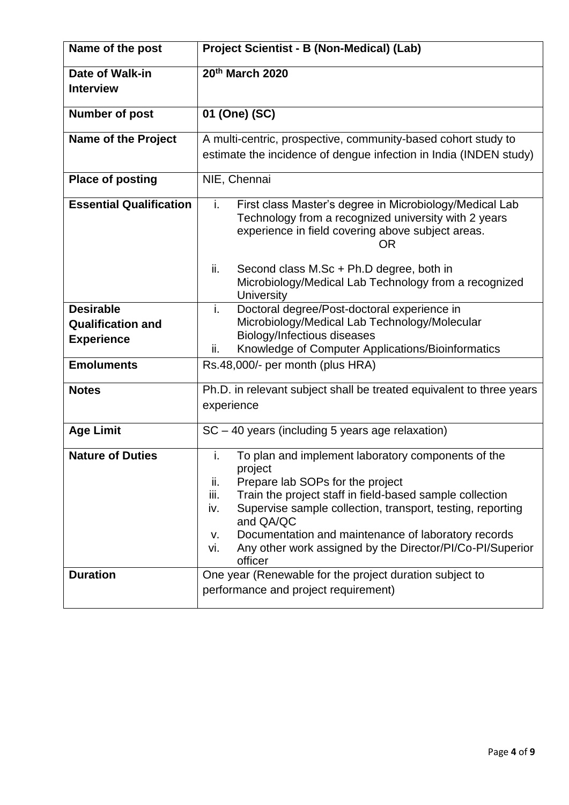| Name of the post                                                  | Project Scientist - B (Non-Medical) (Lab)                                                                                                                                                                                                                                                                                                                                                                        |
|-------------------------------------------------------------------|------------------------------------------------------------------------------------------------------------------------------------------------------------------------------------------------------------------------------------------------------------------------------------------------------------------------------------------------------------------------------------------------------------------|
| Date of Walk-in<br><b>Interview</b>                               | 20th March 2020                                                                                                                                                                                                                                                                                                                                                                                                  |
| <b>Number of post</b>                                             | 01 (One) (SC)                                                                                                                                                                                                                                                                                                                                                                                                    |
| <b>Name of the Project</b>                                        | A multi-centric, prospective, community-based cohort study to<br>estimate the incidence of dengue infection in India (INDEN study)                                                                                                                                                                                                                                                                               |
| <b>Place of posting</b>                                           | NIE, Chennai                                                                                                                                                                                                                                                                                                                                                                                                     |
| <b>Essential Qualification</b>                                    | i.<br>First class Master's degree in Microbiology/Medical Lab<br>Technology from a recognized university with 2 years<br>experience in field covering above subject areas.<br>OR                                                                                                                                                                                                                                 |
|                                                                   | Second class M.Sc + Ph.D degree, both in<br>ii.<br>Microbiology/Medical Lab Technology from a recognized<br>University                                                                                                                                                                                                                                                                                           |
| <b>Desirable</b><br><b>Qualification and</b><br><b>Experience</b> | Doctoral degree/Post-doctoral experience in<br>i.<br>Microbiology/Medical Lab Technology/Molecular<br>Biology/Infectious diseases<br>Knowledge of Computer Applications/Bioinformatics<br>ii.                                                                                                                                                                                                                    |
| <b>Emoluments</b>                                                 | Rs.48,000/- per month (plus HRA)                                                                                                                                                                                                                                                                                                                                                                                 |
| <b>Notes</b>                                                      | Ph.D. in relevant subject shall be treated equivalent to three years<br>experience                                                                                                                                                                                                                                                                                                                               |
| <b>Age Limit</b>                                                  | SC - 40 years (including 5 years age relaxation)                                                                                                                                                                                                                                                                                                                                                                 |
| <b>Nature of Duties</b>                                           | i.<br>To plan and implement laboratory components of the<br>project<br>ii.<br>Prepare lab SOPs for the project<br>iii.<br>Train the project staff in field-based sample collection<br>Supervise sample collection, transport, testing, reporting<br>iv.<br>and QA/QC<br>Documentation and maintenance of laboratory records<br>v.<br>Any other work assigned by the Director/PI/Co-PI/Superior<br>vi.<br>officer |
| <b>Duration</b>                                                   | One year (Renewable for the project duration subject to<br>performance and project requirement)                                                                                                                                                                                                                                                                                                                  |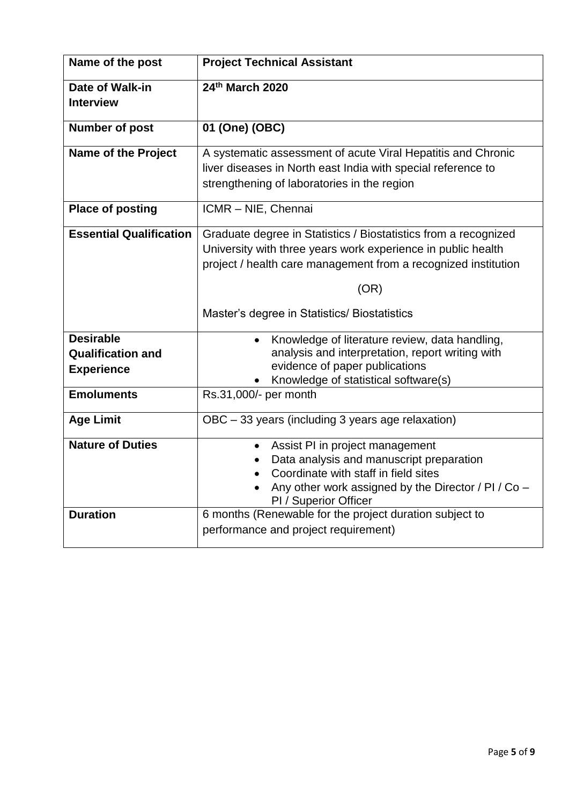| Name of the post                                                  | <b>Project Technical Assistant</b>                                                                                                                                                                                                                        |
|-------------------------------------------------------------------|-----------------------------------------------------------------------------------------------------------------------------------------------------------------------------------------------------------------------------------------------------------|
| Date of Walk-in<br><b>Interview</b>                               | 24th March 2020                                                                                                                                                                                                                                           |
| <b>Number of post</b>                                             | 01 (One) (OBC)                                                                                                                                                                                                                                            |
| <b>Name of the Project</b>                                        | A systematic assessment of acute Viral Hepatitis and Chronic<br>liver diseases in North east India with special reference to<br>strengthening of laboratories in the region                                                                               |
| <b>Place of posting</b>                                           | ICMR - NIE, Chennai                                                                                                                                                                                                                                       |
| <b>Essential Qualification</b>                                    | Graduate degree in Statistics / Biostatistics from a recognized<br>University with three years work experience in public health<br>project / health care management from a recognized institution<br>(OR)<br>Master's degree in Statistics/ Biostatistics |
| <b>Desirable</b><br><b>Qualification and</b><br><b>Experience</b> | Knowledge of literature review, data handling,<br>analysis and interpretation, report writing with<br>evidence of paper publications<br>Knowledge of statistical software(s)                                                                              |
| <b>Emoluments</b>                                                 | Rs.31,000/- per month                                                                                                                                                                                                                                     |
| <b>Age Limit</b>                                                  | OBC - 33 years (including 3 years age relaxation)                                                                                                                                                                                                         |
| <b>Nature of Duties</b>                                           | Assist PI in project management<br>$\bullet$<br>Data analysis and manuscript preparation<br>Coordinate with staff in field sites<br>Any other work assigned by the Director / PI / Co -<br>PI / Superior Officer                                          |
| <b>Duration</b>                                                   | 6 months (Renewable for the project duration subject to<br>performance and project requirement)                                                                                                                                                           |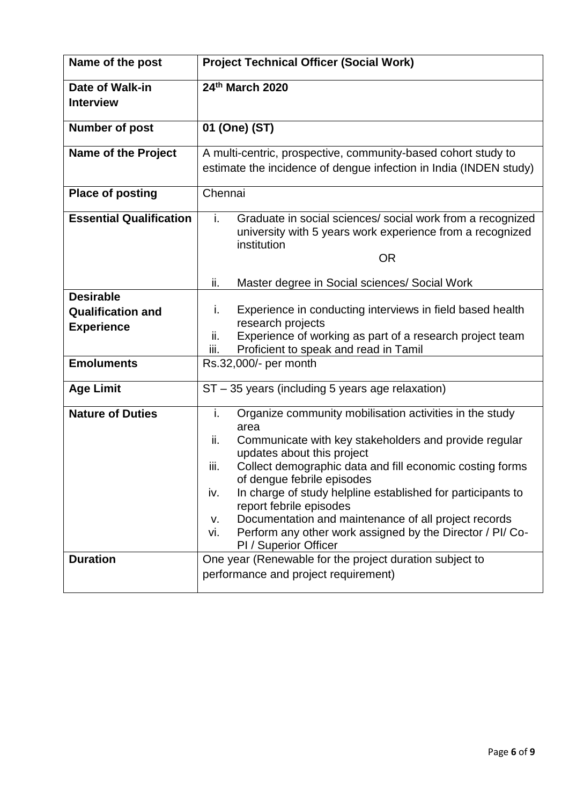| Name of the post                                                  | <b>Project Technical Officer (Social Work)</b>                                                                                                                                                                                                                                                                                                                                                                                                                                                                                    |
|-------------------------------------------------------------------|-----------------------------------------------------------------------------------------------------------------------------------------------------------------------------------------------------------------------------------------------------------------------------------------------------------------------------------------------------------------------------------------------------------------------------------------------------------------------------------------------------------------------------------|
| Date of Walk-in<br><b>Interview</b>                               | 24th March 2020                                                                                                                                                                                                                                                                                                                                                                                                                                                                                                                   |
| <b>Number of post</b>                                             | 01 (One) (ST)                                                                                                                                                                                                                                                                                                                                                                                                                                                                                                                     |
| <b>Name of the Project</b>                                        | A multi-centric, prospective, community-based cohort study to<br>estimate the incidence of dengue infection in India (INDEN study)                                                                                                                                                                                                                                                                                                                                                                                                |
| <b>Place of posting</b>                                           | Chennai                                                                                                                                                                                                                                                                                                                                                                                                                                                                                                                           |
| <b>Essential Qualification</b>                                    | Graduate in social sciences/ social work from a recognized<br>i.<br>university with 5 years work experience from a recognized<br>institution<br><b>OR</b>                                                                                                                                                                                                                                                                                                                                                                         |
|                                                                   | Master degree in Social sciences/ Social Work<br>ii.                                                                                                                                                                                                                                                                                                                                                                                                                                                                              |
| <b>Desirable</b><br><b>Qualification and</b><br><b>Experience</b> | Experience in conducting interviews in field based health<br>i.<br>research projects<br>ii.<br>Experience of working as part of a research project team<br>Proficient to speak and read in Tamil<br>iii.                                                                                                                                                                                                                                                                                                                          |
| <b>Emoluments</b>                                                 | Rs.32,000/- per month                                                                                                                                                                                                                                                                                                                                                                                                                                                                                                             |
| <b>Age Limit</b>                                                  | $ST - 35$ years (including 5 years age relaxation)                                                                                                                                                                                                                                                                                                                                                                                                                                                                                |
| <b>Nature of Duties</b>                                           | Organize community mobilisation activities in the study<br>i.<br>area<br>ii.<br>Communicate with key stakeholders and provide regular<br>updates about this project<br>Collect demographic data and fill economic costing forms<br>iii.<br>of dengue febrile episodes<br>In charge of study helpline established for participants to<br>iv.<br>report febrile episodes<br>Documentation and maintenance of all project records<br>v.<br>Perform any other work assigned by the Director / PI/ Co-<br>vi.<br>PI / Superior Officer |
| <b>Duration</b>                                                   | One year (Renewable for the project duration subject to<br>performance and project requirement)                                                                                                                                                                                                                                                                                                                                                                                                                                   |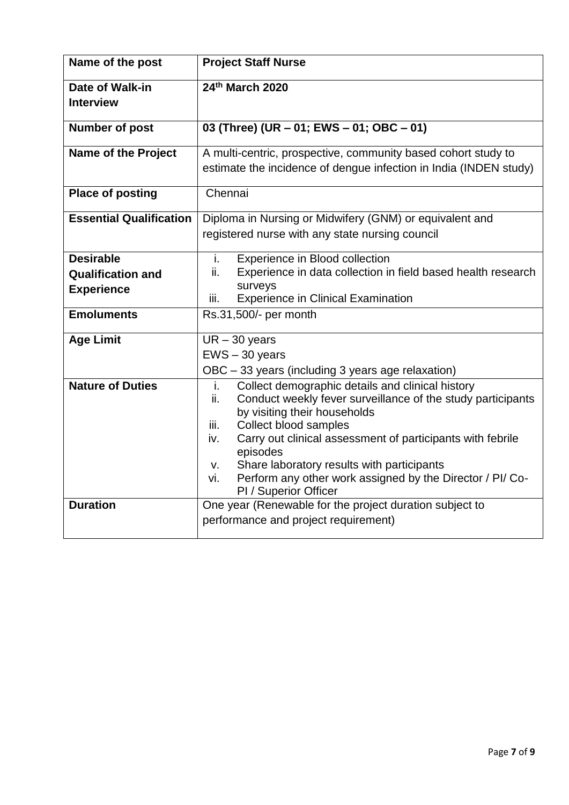| Name of the post                                                  | <b>Project Staff Nurse</b>                                                                                                                                                                                                                                                                                                                                                                                                      |
|-------------------------------------------------------------------|---------------------------------------------------------------------------------------------------------------------------------------------------------------------------------------------------------------------------------------------------------------------------------------------------------------------------------------------------------------------------------------------------------------------------------|
| <b>Date of Walk-in</b><br><b>Interview</b>                        | 24th March 2020                                                                                                                                                                                                                                                                                                                                                                                                                 |
| <b>Number of post</b>                                             | 03 (Three) (UR - 01; EWS - 01; OBC - 01)                                                                                                                                                                                                                                                                                                                                                                                        |
| <b>Name of the Project</b>                                        | A multi-centric, prospective, community based cohort study to<br>estimate the incidence of dengue infection in India (INDEN study)                                                                                                                                                                                                                                                                                              |
| <b>Place of posting</b>                                           | Chennai                                                                                                                                                                                                                                                                                                                                                                                                                         |
| <b>Essential Qualification</b>                                    | Diploma in Nursing or Midwifery (GNM) or equivalent and<br>registered nurse with any state nursing council                                                                                                                                                                                                                                                                                                                      |
| <b>Desirable</b><br><b>Qualification and</b><br><b>Experience</b> | i.<br>Experience in Blood collection<br>ii.<br>Experience in data collection in field based health research<br>surveys<br><b>Experience in Clinical Examination</b><br>iii.                                                                                                                                                                                                                                                     |
| <b>Emoluments</b>                                                 | Rs.31,500/- per month                                                                                                                                                                                                                                                                                                                                                                                                           |
| <b>Age Limit</b>                                                  | $UR - 30$ years<br>$EWS - 30$ years<br>OBC - 33 years (including 3 years age relaxation)                                                                                                                                                                                                                                                                                                                                        |
| <b>Nature of Duties</b>                                           | Collect demographic details and clinical history<br>i.<br>Conduct weekly fever surveillance of the study participants<br>ii.<br>by visiting their households<br>Collect blood samples<br>iii.<br>Carry out clinical assessment of participants with febrile<br>iv.<br>episodes<br>Share laboratory results with participants<br>V.<br>Perform any other work assigned by the Director / PI/ Co-<br>vi.<br>PI / Superior Officer |
| <b>Duration</b>                                                   | One year (Renewable for the project duration subject to<br>performance and project requirement)                                                                                                                                                                                                                                                                                                                                 |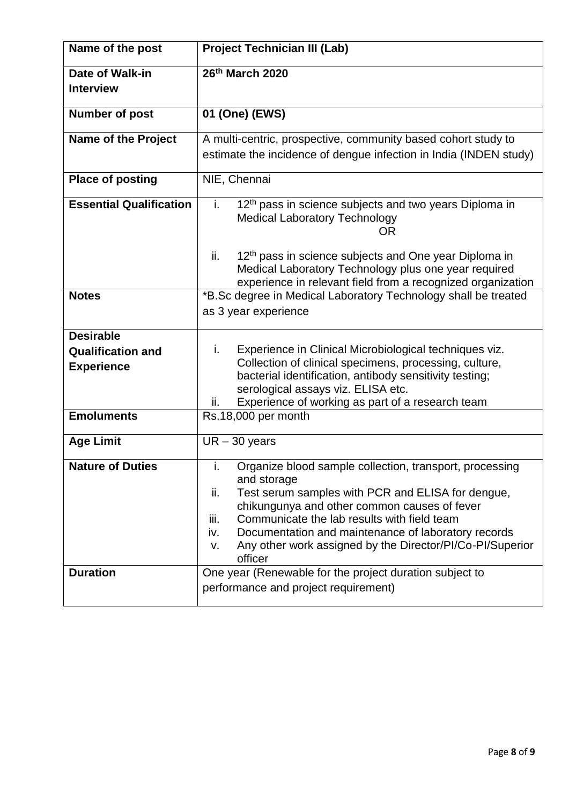| Name of the post                                                                       | <b>Project Technician III (Lab)</b>                                                                                                                                                                                                                                                                                                                                                         |
|----------------------------------------------------------------------------------------|---------------------------------------------------------------------------------------------------------------------------------------------------------------------------------------------------------------------------------------------------------------------------------------------------------------------------------------------------------------------------------------------|
| Date of Walk-in<br><b>Interview</b>                                                    | 26th March 2020                                                                                                                                                                                                                                                                                                                                                                             |
| <b>Number of post</b>                                                                  | 01 (One) (EWS)                                                                                                                                                                                                                                                                                                                                                                              |
| <b>Name of the Project</b>                                                             | A multi-centric, prospective, community based cohort study to<br>estimate the incidence of dengue infection in India (INDEN study)                                                                                                                                                                                                                                                          |
| <b>Place of posting</b>                                                                | NIE, Chennai                                                                                                                                                                                                                                                                                                                                                                                |
| <b>Essential Qualification</b>                                                         | 12 <sup>th</sup> pass in science subjects and two years Diploma in<br>j.<br><b>Medical Laboratory Technology</b><br>OR.                                                                                                                                                                                                                                                                     |
|                                                                                        | 12 <sup>th</sup> pass in science subjects and One year Diploma in<br>ii.<br>Medical Laboratory Technology plus one year required<br>experience in relevant field from a recognized organization                                                                                                                                                                                             |
| <b>Notes</b>                                                                           | *B.Sc degree in Medical Laboratory Technology shall be treated<br>as 3 year experience                                                                                                                                                                                                                                                                                                      |
| <b>Desirable</b><br><b>Qualification and</b><br><b>Experience</b><br><b>Emoluments</b> | Experience in Clinical Microbiological techniques viz.<br>i.<br>Collection of clinical specimens, processing, culture,<br>bacterial identification, antibody sensitivity testing;<br>serological assays viz. ELISA etc.<br>Experience of working as part of a research team<br>ii.                                                                                                          |
|                                                                                        | Rs.18,000 per month                                                                                                                                                                                                                                                                                                                                                                         |
| <b>Age Limit</b>                                                                       | $UR - 30$ years                                                                                                                                                                                                                                                                                                                                                                             |
| <b>Nature of Duties</b>                                                                | Organize blood sample collection, transport, processing<br>i.<br>and storage<br>ii.<br>Test serum samples with PCR and ELISA for dengue,<br>chikungunya and other common causes of fever<br>Communicate the lab results with field team<br>iii.<br>Documentation and maintenance of laboratory records<br>iv.<br>Any other work assigned by the Director/PI/Co-PI/Superior<br>V.<br>officer |
| <b>Duration</b>                                                                        | One year (Renewable for the project duration subject to<br>performance and project requirement)                                                                                                                                                                                                                                                                                             |